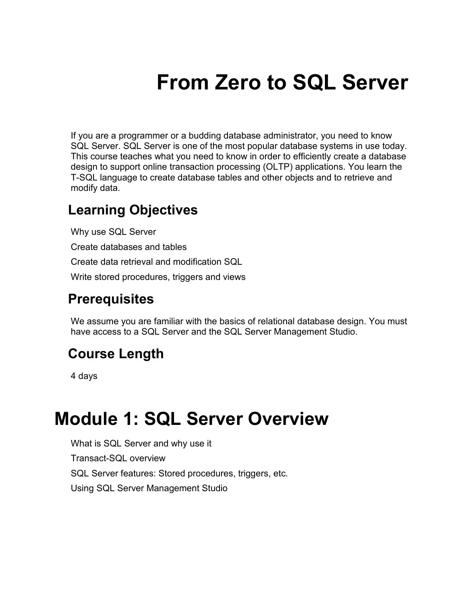# **From Zero to SQL Server**

If you are a programmer or a budding database administrator, you need to know SQL Server. SQL Server is one of the most popular database systems in use today. This course teaches what you need to know in order to efficiently create a database design to support online transaction processing (OLTP) applications. You learn the T-SQL language to create database tables and other objects and to retrieve and modify data.

#### **Learning Objectives**

Why use SQL Server Create databases and tables Create data retrieval and modification SQL Write stored procedures, triggers and views

#### **Prerequisites**

We assume you are familiar with the basics of relational database design. You must have access to a SQL Server and the SQL Server Management Studio.

#### **Course Length**

4 days

#### **Module 1: SQL Server Overview**

What is SQL Server and why use it Transact-SQL overview SQL Server features: Stored procedures, triggers, etc. Using SQL Server Management Studio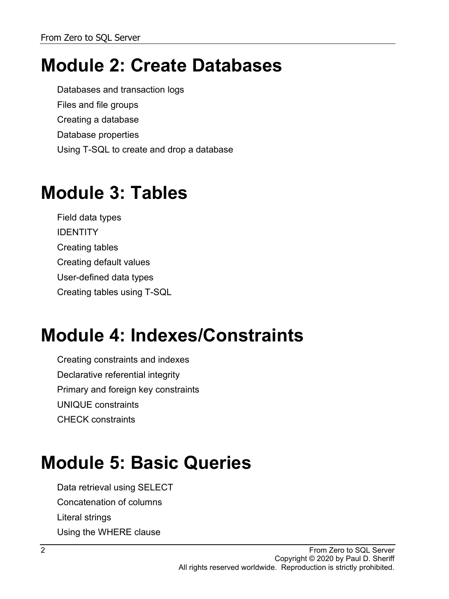# **Module 2: Create Databases**

Databases and transaction logs Files and file groups Creating a database Database properties Using T-SQL to create and drop a database

# **Module 3: Tables**

Field data types **IDENTITY** Creating tables Creating default values User-defined data types Creating tables using T-SQL

# **Module 4: Indexes/Constraints**

Creating constraints and indexes Declarative referential integrity Primary and foreign key constraints UNIQUE constraints CHECK constraints

# **Module 5: Basic Queries**

Data retrieval using SELECT Concatenation of columns Literal strings Using the WHERE clause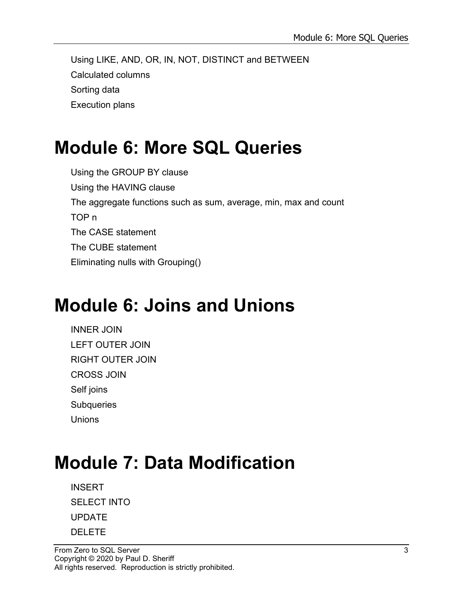Using LIKE, AND, OR, IN, NOT, DISTINCT and BETWEEN Calculated columns Sorting data Execution plans

# **Module 6: More SQL Queries**

Using the GROUP BY clause Using the HAVING clause The aggregate functions such as sum, average, min, max and count TOP n The CASE statement The CUBE statement Eliminating nulls with Grouping()

# **Module 6: Joins and Unions**

INNER JOIN LEFT OUTER JOIN RIGHT OUTER JOIN CROSS JOIN Self joins **Subqueries Unions** 

# **Module 7: Data Modification**

INSERT SELECT INTO UPDATE DELETE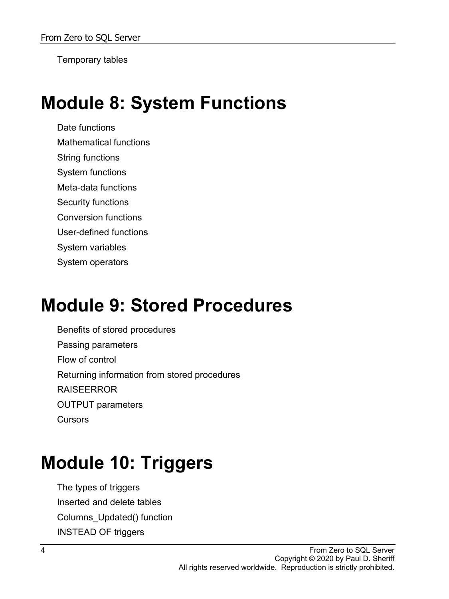Temporary tables

#### **Module 8: System Functions**

Date functions Mathematical functions String functions System functions Meta-data functions Security functions Conversion functions User-defined functions System variables System operators

#### **Module 9: Stored Procedures**

Benefits of stored procedures Passing parameters Flow of control Returning information from stored procedures RAISEERROR OUTPUT parameters **Cursors** 

# **Module 10: Triggers**

The types of triggers Inserted and delete tables Columns\_Updated() function INSTEAD OF triggers